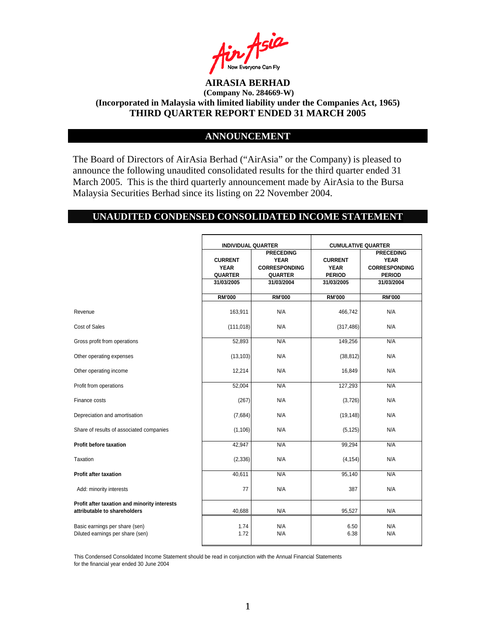

### **ANNOUNCEMENT**

The Board of Directors of AirAsia Berhad ("AirAsia" or the Company) is pleased to announce the following unaudited consolidated results for the third quarter ended 31 March 2005. This is the third quarterly announcement made by AirAsia to the Bursa Malaysia Securities Berhad since its listing on 22 November 2004.

### **UNAUDITED CONDENSED CONSOLIDATED INCOME STATEMENT**

|                                                                              | <b>INDIVIDUAL QUARTER</b>                                     |                                                                                         | <b>CUMULATIVE QUARTER</b>                                    |                                                                                        |
|------------------------------------------------------------------------------|---------------------------------------------------------------|-----------------------------------------------------------------------------------------|--------------------------------------------------------------|----------------------------------------------------------------------------------------|
|                                                                              | <b>CURRENT</b><br><b>YEAR</b><br><b>QUARTER</b><br>31/03/2005 | <b>PRECEDING</b><br><b>YEAR</b><br><b>CORRESPONDING</b><br><b>QUARTER</b><br>31/03/2004 | <b>CURRENT</b><br><b>YEAR</b><br><b>PERIOD</b><br>31/03/2005 | <b>PRECEDING</b><br><b>YEAR</b><br><b>CORRESPONDING</b><br><b>PERIOD</b><br>31/03/2004 |
|                                                                              | <b>RM'000</b>                                                 | <b>RM'000</b>                                                                           | <b>RM'000</b>                                                | <b>RM'000</b>                                                                          |
| Revenue                                                                      | 163,911                                                       | N/A                                                                                     | 466,742                                                      | N/A                                                                                    |
| Cost of Sales                                                                | (111, 018)                                                    | N/A                                                                                     | (317, 486)                                                   | N/A                                                                                    |
| Gross profit from operations                                                 | 52,893                                                        | N/A                                                                                     | 149,256                                                      | N/A                                                                                    |
| Other operating expenses                                                     | (13, 103)                                                     | N/A                                                                                     | (38, 812)                                                    | N/A                                                                                    |
| Other operating income                                                       | 12,214                                                        | N/A                                                                                     | 16,849                                                       | N/A                                                                                    |
| Profit from operations                                                       | 52,004                                                        | N/A                                                                                     | 127,293                                                      | N/A                                                                                    |
| Finance costs                                                                | (267)                                                         | N/A                                                                                     | (3,726)                                                      | N/A                                                                                    |
| Depreciation and amortisation                                                | (7,684)                                                       | N/A                                                                                     | (19, 148)                                                    | N/A                                                                                    |
| Share of results of associated companies                                     | (1, 106)                                                      | N/A                                                                                     | (5, 125)                                                     | N/A                                                                                    |
| <b>Profit before taxation</b>                                                | 42,947                                                        | N/A                                                                                     | 99,294                                                       | N/A                                                                                    |
| Taxation                                                                     | (2, 336)                                                      | N/A                                                                                     | (4, 154)                                                     | N/A                                                                                    |
| <b>Profit after taxation</b>                                                 | 40,611                                                        | N/A                                                                                     | 95,140                                                       | N/A                                                                                    |
| Add: minority interests                                                      | 77                                                            | N/A                                                                                     | 387                                                          | N/A                                                                                    |
| Profit after taxation and minority interests<br>attributable to shareholders | 40,688                                                        | N/A                                                                                     | 95,527                                                       | N/A                                                                                    |
| Basic earnings per share (sen)<br>Diluted earnings per share (sen)           | 1.74<br>1.72                                                  | N/A<br>N/A                                                                              | 6.50<br>6.38                                                 | N/A<br>N/A                                                                             |

This Condensed Consolidated Income Statement should be read in conjunction with the Annual Financial Statements for the financial year ended 30 June 2004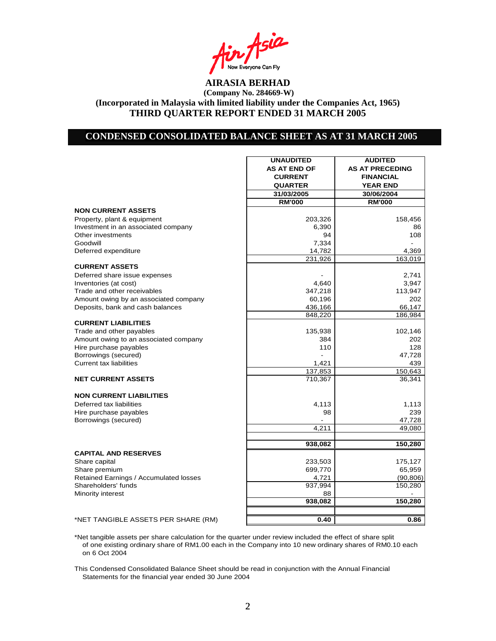Asia **I** Now Everyone Can Fly<br>**AIRASIA BERHAD** 

## **CONDENSED CONSOLIDATED BALANCE SHEET AS AT 31 MARCH 2005**

|                                                                 | <b>UNAUDITED</b>    | <b>AUDITED</b>         |
|-----------------------------------------------------------------|---------------------|------------------------|
|                                                                 | <b>AS AT END OF</b> | <b>AS AT PRECEDING</b> |
|                                                                 | <b>CURRENT</b>      | <b>FINANCIAL</b>       |
|                                                                 | <b>QUARTER</b>      | <b>YEAR END</b>        |
|                                                                 | 31/03/2005          | 30/06/2004             |
|                                                                 | <b>RM'000</b>       | <b>RM'000</b>          |
| <b>NON CURRENT ASSETS</b>                                       |                     |                        |
| Property, plant & equipment                                     | 203,326             | 158,456                |
| Investment in an associated company                             | 6,390               | 86                     |
| Other investments                                               | 94                  | 108                    |
| Goodwill                                                        | 7,334               |                        |
| Deferred expenditure                                            | 14,782              | 4,369                  |
|                                                                 | 231,926             | 163,019                |
| <b>CURRENT ASSETS</b>                                           |                     |                        |
| Deferred share issue expenses                                   |                     | 2,741                  |
| Inventories (at cost)                                           | 4,640               | 3,947                  |
| Trade and other receivables                                     | 347,218             | 113,947                |
| Amount owing by an associated company                           | 60,196              | 202                    |
| Deposits, bank and cash balances                                | 436,166             | 66,147                 |
| <b>CURRENT LIABILITIES</b>                                      | 848,220             | 186,984                |
|                                                                 |                     |                        |
| Trade and other payables                                        | 135,938<br>384      | 102,146<br>202         |
| Amount owing to an associated company<br>Hire purchase payables | 110                 | 128                    |
| Borrowings (secured)                                            |                     | 47,728                 |
| <b>Current tax liabilities</b>                                  | 1,421               | 439                    |
|                                                                 | 137,853             | 150,643                |
| <b>NET CURRENT ASSETS</b>                                       | 710,367             | 36,341                 |
|                                                                 |                     |                        |
| <b>NON CURRENT LIABILITIES</b>                                  |                     |                        |
| Deferred tax liabilities                                        | 4,113               | 1,113                  |
| Hire purchase payables                                          | 98                  | 239                    |
| Borrowings (secured)                                            |                     | 47,728                 |
|                                                                 | 4,211               | 49,080                 |
|                                                                 |                     |                        |
|                                                                 | 938,082             | 150,280                |
| <b>CAPITAL AND RESERVES</b>                                     |                     |                        |
| Share capital                                                   | 233,503             | 175,127                |
| Share premium                                                   | 699,770             | 65,959                 |
| Retained Earnings / Accumulated losses                          | 4,721               | (90, 806)              |
| Shareholders' funds                                             | 937,994             | 150,280                |
| Minority interest                                               | 88                  |                        |
|                                                                 | 938,082             | 150,280                |
|                                                                 |                     |                        |
| *NET TANGIBLE ASSETS PER SHARE (RM)                             | 0.40                | 0.86                   |

\*Net tangible assets per share calculation for the quarter under review included the effect of share split of one existing ordinary share of RM1.00 each in the Company into 10 new ordinary shares of RM0.10 each on 6 Oct 2004

This Condensed Consolidated Balance Sheet should be read in conjunction with the Annual Financial Statements for the financial year ended 30 June 2004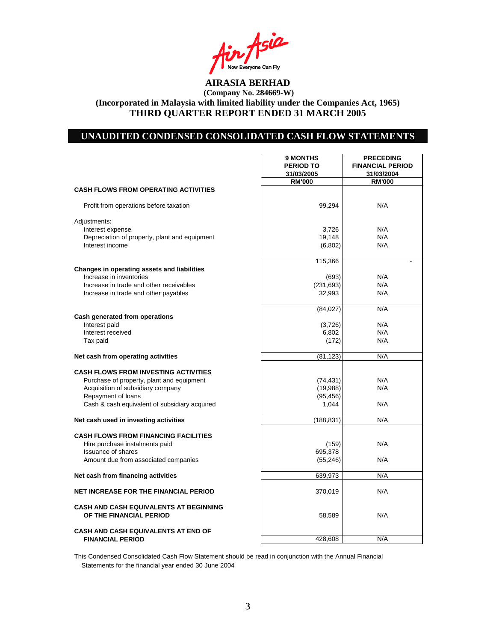Asia Now Everyone Can Fly<br>**AIRASIA BERHAD** 

# **UNAUDITED CONDENSED CONSOLIDATED CASH FLOW STATEMENTS**

 $\mathbf{r}$ 

|                                                                   | 9 MONTHS<br><b>PERIOD TO</b><br>31/03/2005 | <b>PRECEDING</b><br><b>FINANCIAL PERIOD</b><br>31/03/2004 |
|-------------------------------------------------------------------|--------------------------------------------|-----------------------------------------------------------|
| <b>CASH FLOWS FROM OPERATING ACTIVITIES</b>                       | <b>RM'000</b>                              | <b>RM'000</b>                                             |
|                                                                   |                                            |                                                           |
| Profit from operations before taxation                            | 99,294                                     | N/A                                                       |
| Adjustments:                                                      |                                            |                                                           |
| Interest expense<br>Depreciation of property, plant and equipment | 3,726<br>19,148                            | N/A<br>N/A                                                |
| Interest income                                                   | (6,802)                                    | N/A                                                       |
|                                                                   |                                            |                                                           |
| Changes in operating assets and liabilities                       | 115,366                                    |                                                           |
| Increase in inventories                                           | (693)                                      | N/A                                                       |
| Increase in trade and other receivables                           | (231, 693)                                 | N/A                                                       |
| Increase in trade and other payables                              | 32,993                                     | N/A                                                       |
|                                                                   | (84, 027)                                  | N/A                                                       |
| Cash generated from operations                                    |                                            |                                                           |
| Interest paid                                                     | (3,726)                                    | N/A                                                       |
| Interest received                                                 | 6,802                                      | N/A                                                       |
| Tax paid                                                          | (172)                                      | N/A                                                       |
| Net cash from operating activities                                | (81, 123)                                  | N/A                                                       |
| <b>CASH FLOWS FROM INVESTING ACTIVITIES</b>                       |                                            |                                                           |
| Purchase of property, plant and equipment                         | (74, 431)                                  | N/A                                                       |
| Acquisition of subsidiary company                                 | (19,988)                                   | N/A                                                       |
| Repayment of loans                                                | (95, 456)                                  |                                                           |
| Cash & cash equivalent of subsidiary acquired                     | 1.044                                      | N/A                                                       |
| Net cash used in investing activities                             | (188, 831)                                 | N/A                                                       |
| <b>CASH FLOWS FROM FINANCING FACILITIES</b>                       |                                            |                                                           |
| Hire purchase instalments paid                                    | (159)                                      | N/A                                                       |
| <b>Issuance of shares</b>                                         | 695,378                                    |                                                           |
| Amount due from associated companies                              | (55, 246)                                  | N/A                                                       |
| Net cash from financing activities                                | 639,973                                    | N/A                                                       |
|                                                                   |                                            |                                                           |
| <b>NET INCREASE FOR THE FINANCIAL PERIOD</b>                      | 370,019                                    | N/A                                                       |
| <b>CASH AND CASH EQUIVALENTS AT BEGINNING</b>                     |                                            |                                                           |
| OF THE FINANCIAL PERIOD                                           | 58,589                                     | N/A                                                       |
| <b>CASH AND CASH EQUIVALENTS AT END OF</b>                        |                                            |                                                           |
| <b>FINANCIAL PERIOD</b>                                           | 428.608                                    | N/A                                                       |

This Condensed Consolidated Cash Flow Statement should be read in conjunction with the Annual Financial Statements for the financial year ended 30 June 2004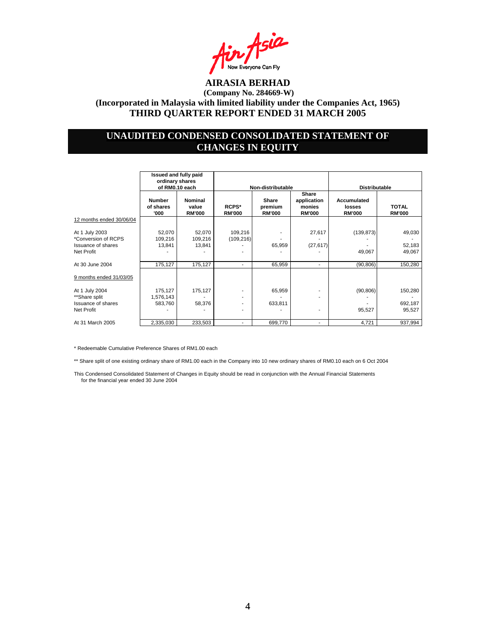

## **UNAUDITED CONDENSED CONSOLIDATED STATEMENT OF CHANGES IN EQUITY**

|                                                                            | Issued and fully paid<br>ordinary shares<br>of RM0.10 each |                                   | Non-distributable        |                                   |                                                 | <b>Distributable</b>                   |                               |
|----------------------------------------------------------------------------|------------------------------------------------------------|-----------------------------------|--------------------------|-----------------------------------|-------------------------------------------------|----------------------------------------|-------------------------------|
|                                                                            | <b>Number</b><br>of shares<br>'000                         | Nominal<br>value<br><b>RM'000</b> | RCPS*<br><b>RM'000</b>   | Share<br>premium<br><b>RM'000</b> | Share<br>application<br>monies<br><b>RM'000</b> | Accumulated<br>losses<br><b>RM'000</b> | <b>TOTAL</b><br><b>RM'000</b> |
| 12 months ended 30/06/04                                                   |                                                            |                                   |                          |                                   |                                                 |                                        |                               |
| At 1 July 2003<br>*Conversion of RCPS<br>Issuance of shares<br>Net Profit  | 52,070<br>109,216<br>13,841                                | 52,070<br>109,216<br>13,841       | 109,216<br>(109, 216)    | 65,959                            | 27,617<br>(27, 617)                             | (139, 873)<br>49,067                   | 49,030<br>52,183<br>49,067    |
| At 30 June 2004                                                            | 175,127                                                    | 175,127                           | $\overline{\phantom{a}}$ | 65,959                            | $\overline{\phantom{a}}$                        | (90, 806)                              | 150,280                       |
| 9 months ended 31/03/05                                                    |                                                            |                                   |                          |                                   |                                                 |                                        |                               |
| At 1 July 2004<br>**Share split<br>Issuance of shares<br><b>Net Profit</b> | 175,127<br>1,576,143<br>583,760                            | 175,127<br>58,376                 | $\overline{\phantom{a}}$ | 65,959<br>633,811                 |                                                 | (90, 806)<br>95,527                    | 150,280<br>692,187<br>95,527  |
| At 31 March 2005                                                           | 2,335,030                                                  | 233,503                           | $\overline{\phantom{a}}$ | 699,770                           | ٠                                               | 4,721                                  | 937,994                       |

\* Redeemable Cumulative Preference Shares of RM1.00 each

\*\* Share split of one existing ordinary share of RM1.00 each in the Company into 10 new ordinary shares of RM0.10 each on 6 Oct 2004

This Condensed Consolidated Statement of Changes in Equity should be read in conjunction with the Annual Financial Statements for the financial year ended 30 June 2004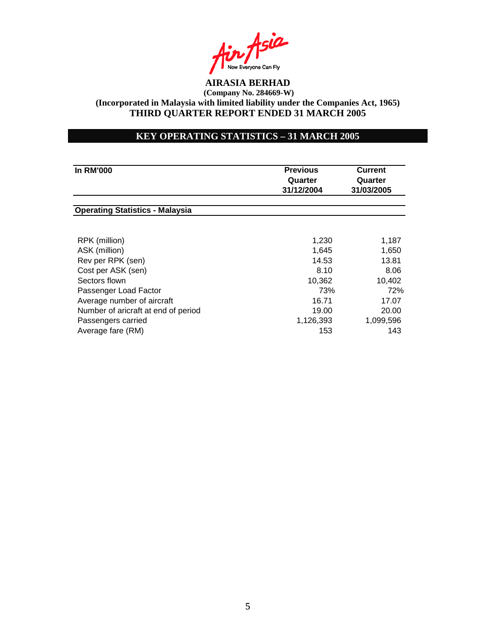

## **KEY OPERATING STATISTICS – 31 MARCH 2005**

| <b>In RM'000</b>                       | <b>Previous</b><br>Quarter<br>31/12/2004 | Current<br>Quarter<br>31/03/2005 |  |
|----------------------------------------|------------------------------------------|----------------------------------|--|
| <b>Operating Statistics - Malaysia</b> |                                          |                                  |  |
| RPK (million)                          | 1,230                                    | 1,187                            |  |
| ASK (million)                          | 1,645                                    | 1,650                            |  |
| Rev per RPK (sen)                      | 14.53                                    | 13.81                            |  |
| Cost per ASK (sen)                     | 8.10                                     | 8.06                             |  |
| Sectors flown                          | 10,362                                   | 10,402                           |  |
| Passenger Load Factor                  | 73%                                      | 72%                              |  |
| Average number of aircraft             | 16.71                                    | 17.07                            |  |
| Number of aricraft at end of period    | 19.00                                    | 20.00                            |  |
| Passengers carried                     | 1,126,393                                | 1,099,596                        |  |
| Average fare (RM)                      | 153                                      | 143                              |  |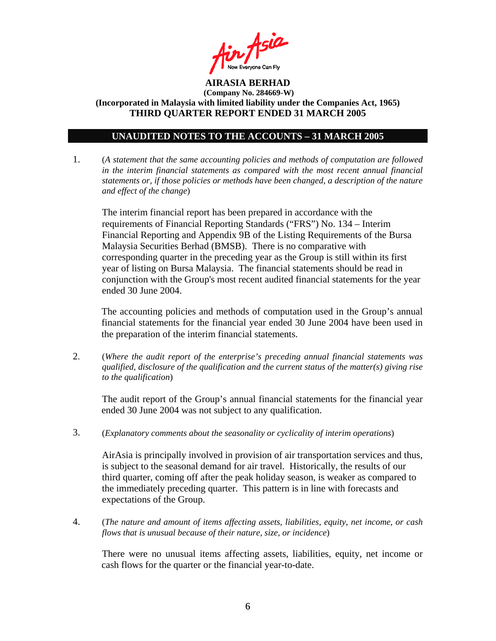

### **UNAUDITED NOTES TO THE ACCOUNTS – 31 MARCH 2005**

1. (*A statement that the same accounting policies and methods of computation are followed in the interim financial statements as compared with the most recent annual financial statements or, if those policies or methods have been changed, a description of the nature and effect of the change*)

The interim financial report has been prepared in accordance with the requirements of Financial Reporting Standards ("FRS") No. 134 – Interim Financial Reporting and Appendix 9B of the Listing Requirements of the Bursa Malaysia Securities Berhad (BMSB). There is no comparative with corresponding quarter in the preceding year as the Group is still within its first year of listing on Bursa Malaysia. The financial statements should be read in conjunction with the Group's most recent audited financial statements for the year ended 30 June 2004.

The accounting policies and methods of computation used in the Group's annual financial statements for the financial year ended 30 June 2004 have been used in the preparation of the interim financial statements.

2. (*Where the audit report of the enterprise's preceding annual financial statements was qualified, disclosure of the qualification and the current status of the matter(s) giving rise to the qualification*)

The audit report of the Group's annual financial statements for the financial year ended 30 June 2004 was not subject to any qualification.

3. (*Explanatory comments about the seasonality or cyclicality of interim operations*)

AirAsia is principally involved in provision of air transportation services and thus, is subject to the seasonal demand for air travel. Historically, the results of our third quarter, coming off after the peak holiday season, is weaker as compared to the immediately preceding quarter. This pattern is in line with forecasts and expectations of the Group.

4. (*The nature and amount of items affecting assets, liabilities, equity, net income, or cash flows that is unusual because of their nature, size, or incidence*)

 There were no unusual items affecting assets, liabilities, equity, net income or cash flows for the quarter or the financial year-to-date.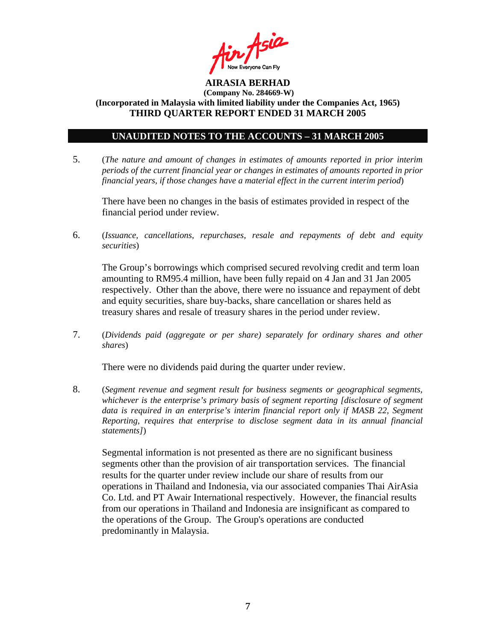

### **UNAUDITED NOTES TO THE ACCOUNTS – 31 MARCH 2005**

5. (*The nature and amount of changes in estimates of amounts reported in prior interim periods of the current financial year or changes in estimates of amounts reported in prior financial years, if those changes have a material effect in the current interim period*)

There have been no changes in the basis of estimates provided in respect of the financial period under review.

6. (*Issuance, cancellations, repurchases, resale and repayments of debt and equity securities*)

The Group's borrowings which comprised secured revolving credit and term loan amounting to RM95.4 million, have been fully repaid on 4 Jan and 31 Jan 2005 respectively. Other than the above, there were no issuance and repayment of debt and equity securities, share buy-backs, share cancellation or shares held as treasury shares and resale of treasury shares in the period under review.

7. (*Dividends paid (aggregate or per share) separately for ordinary shares and other shares*)

There were no dividends paid during the quarter under review.

8. (*Segment revenue and segment result for business segments or geographical segments, whichever is the enterprise's primary basis of segment reporting [disclosure of segment data is required in an enterprise's interim financial report only if MASB 22, Segment Reporting, requires that enterprise to disclose segment data in its annual financial statements]*)

Segmental information is not presented as there are no significant business segments other than the provision of air transportation services. The financial results for the quarter under review include our share of results from our operations in Thailand and Indonesia, via our associated companies Thai AirAsia Co. Ltd. and PT Awair International respectively. However, the financial results from our operations in Thailand and Indonesia are insignificant as compared to the operations of the Group. The Group's operations are conducted predominantly in Malaysia.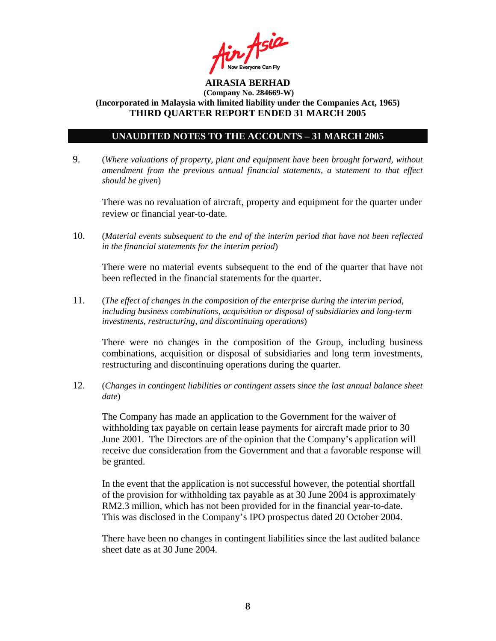

### **UNAUDITED NOTES TO THE ACCOUNTS – 31 MARCH 2005**

9. (*Where valuations of property, plant and equipment have been brought forward, without amendment from the previous annual financial statements, a statement to that effect should be given*)

 There was no revaluation of aircraft, property and equipment for the quarter under review or financial year-to-date.

10. (*Material events subsequent to the end of the interim period that have not been reflected in the financial statements for the interim period*)

There were no material events subsequent to the end of the quarter that have not been reflected in the financial statements for the quarter.

11. (*The effect of changes in the composition of the enterprise during the interim period, including business combinations, acquisition or disposal of subsidiaries and long-term investments, restructuring, and discontinuing operations*)

There were no changes in the composition of the Group, including business combinations, acquisition or disposal of subsidiaries and long term investments, restructuring and discontinuing operations during the quarter.

12. (*Changes in contingent liabilities or contingent assets since the last annual balance sheet date*)

The Company has made an application to the Government for the waiver of withholding tax payable on certain lease payments for aircraft made prior to 30 June 2001. The Directors are of the opinion that the Company's application will receive due consideration from the Government and that a favorable response will be granted.

In the event that the application is not successful however, the potential shortfall of the provision for withholding tax payable as at 30 June 2004 is approximately RM2.3 million, which has not been provided for in the financial year-to-date. This was disclosed in the Company's IPO prospectus dated 20 October 2004.

There have been no changes in contingent liabilities since the last audited balance sheet date as at 30 June 2004.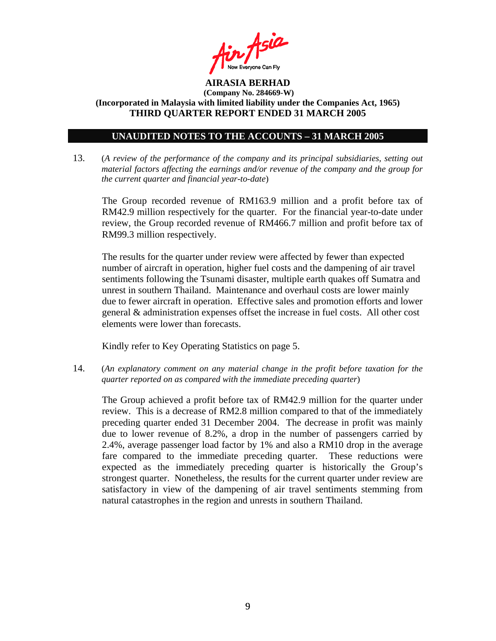

### **UNAUDITED NOTES TO THE ACCOUNTS – 31 MARCH 2005**

13. (*A review of the performance of the company and its principal subsidiaries, setting out material factors affecting the earnings and/or revenue of the company and the group for the current quarter and financial year-to-date*)

The Group recorded revenue of RM163.9 million and a profit before tax of RM42.9 million respectively for the quarter. For the financial year-to-date under review, the Group recorded revenue of RM466.7 million and profit before tax of RM99.3 million respectively.

The results for the quarter under review were affected by fewer than expected number of aircraft in operation, higher fuel costs and the dampening of air travel sentiments following the Tsunami disaster, multiple earth quakes off Sumatra and unrest in southern Thailand. Maintenance and overhaul costs are lower mainly due to fewer aircraft in operation. Effective sales and promotion efforts and lower general & administration expenses offset the increase in fuel costs. All other cost elements were lower than forecasts.

Kindly refer to Key Operating Statistics on page 5.

14. (*An explanatory comment on any material change in the profit before taxation for the quarter reported on as compared with the immediate preceding quarter*)

The Group achieved a profit before tax of RM42.9 million for the quarter under review. This is a decrease of RM2.8 million compared to that of the immediately preceding quarter ended 31 December 2004. The decrease in profit was mainly due to lower revenue of 8.2%, a drop in the number of passengers carried by 2.4%, average passenger load factor by 1% and also a RM10 drop in the average fare compared to the immediate preceding quarter. These reductions were expected as the immediately preceding quarter is historically the Group's strongest quarter. Nonetheless, the results for the current quarter under review are satisfactory in view of the dampening of air travel sentiments stemming from natural catastrophes in the region and unrests in southern Thailand.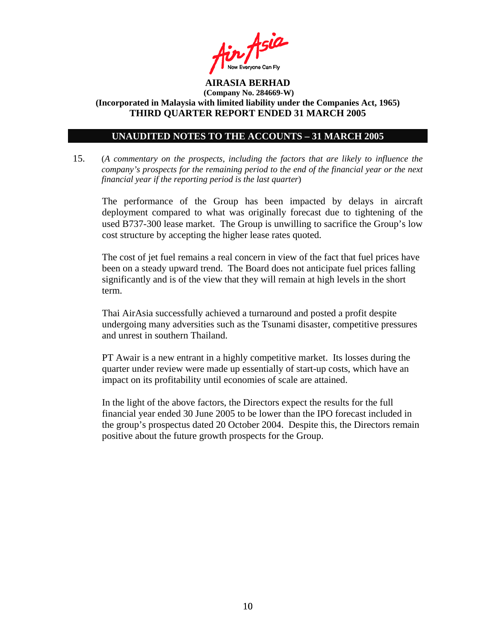

### **UNAUDITED NOTES TO THE ACCOUNTS – 31 MARCH 2005**

15. (*A commentary on the prospects, including the factors that are likely to influence the company's prospects for the remaining period to the end of the financial year or the next financial year if the reporting period is the last quarter*)

The performance of the Group has been impacted by delays in aircraft deployment compared to what was originally forecast due to tightening of the used B737-300 lease market. The Group is unwilling to sacrifice the Group's low cost structure by accepting the higher lease rates quoted.

 The cost of jet fuel remains a real concern in view of the fact that fuel prices have been on a steady upward trend. The Board does not anticipate fuel prices falling significantly and is of the view that they will remain at high levels in the short term.

 Thai AirAsia successfully achieved a turnaround and posted a profit despite undergoing many adversities such as the Tsunami disaster, competitive pressures and unrest in southern Thailand.

 PT Awair is a new entrant in a highly competitive market. Its losses during the quarter under review were made up essentially of start-up costs, which have an impact on its profitability until economies of scale are attained.

In the light of the above factors, the Directors expect the results for the full financial year ended 30 June 2005 to be lower than the IPO forecast included in the group's prospectus dated 20 October 2004. Despite this, the Directors remain positive about the future growth prospects for the Group.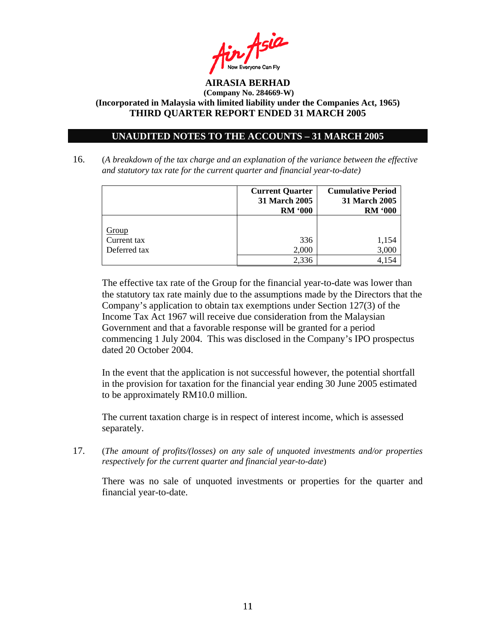

### **UNAUDITED NOTES TO THE ACCOUNTS – 31 MARCH 2005**

16. (*A breakdown of the tax charge and an explanation of the variance between the effective and statutory tax rate for the current quarter and financial year-to-date)*

|              | 31 March 2005<br><b>RM '000</b> | 31 March 2005<br><b>RM '000</b> |
|--------------|---------------------------------|---------------------------------|
| Group        | 336                             | 1,154                           |
| Current tax  | 2,000                           | 3,000                           |
| Deferred tax | 2.336                           | 4 154                           |

The effective tax rate of the Group for the financial year-to-date was lower than the statutory tax rate mainly due to the assumptions made by the Directors that the Company's application to obtain tax exemptions under Section 127(3) of the Income Tax Act 1967 will receive due consideration from the Malaysian Government and that a favorable response will be granted for a period commencing 1 July 2004. This was disclosed in the Company's IPO prospectus dated 20 October 2004.

In the event that the application is not successful however, the potential shortfall in the provision for taxation for the financial year ending 30 June 2005 estimated to be approximately RM10.0 million.

The current taxation charge is in respect of interest income, which is assessed separately.

17. (*The amount of profits/(losses) on any sale of unquoted investments and/or properties respectively for the current quarter and financial year-to-date*)

There was no sale of unquoted investments or properties for the quarter and financial year-to-date.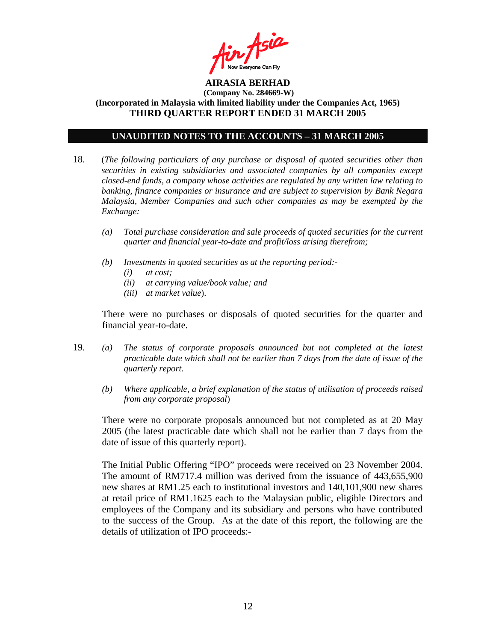

### **UNAUDITED NOTES TO THE ACCOUNTS – 31 MARCH 2005**

- 18. (*The following particulars of any purchase or disposal of quoted securities other than securities in existing subsidiaries and associated companies by all companies except closed-end funds, a company whose activities are regulated by any written law relating to banking, finance companies or insurance and are subject to supervision by Bank Negara Malaysia, Member Companies and such other companies as may be exempted by the Exchange:* 
	- *(a) Total purchase consideration and sale proceeds of quoted securities for the current quarter and financial year-to-date and profit/loss arising therefrom;*
	- *(b) Investments in quoted securities as at the reporting period:-* 
		- *(i) at cost;*
		- *(ii) at carrying value/book value; and*
		- *(iii) at market value*).

There were no purchases or disposals of quoted securities for the quarter and financial year-to-date.

- 19. *(a) The status of corporate proposals announced but not completed at the latest practicable date which shall not be earlier than 7 days from the date of issue of the quarterly report*.
	- *(b) Where applicable, a brief explanation of the status of utilisation of proceeds raised from any corporate proposal*)

There were no corporate proposals announced but not completed as at 20 May 2005 (the latest practicable date which shall not be earlier than 7 days from the date of issue of this quarterly report).

 The Initial Public Offering "IPO" proceeds were received on 23 November 2004. The amount of RM717.4 million was derived from the issuance of 443,655,900 new shares at RM1.25 each to institutional investors and 140,101,900 new shares at retail price of RM1.1625 each to the Malaysian public, eligible Directors and employees of the Company and its subsidiary and persons who have contributed to the success of the Group. As at the date of this report, the following are the details of utilization of IPO proceeds:-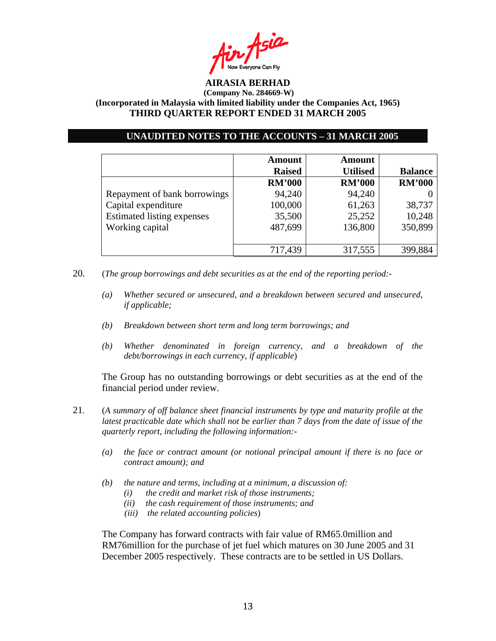

### **UNAUDITED NOTES TO THE ACCOUNTS – 31 MARCH 2005**

|                                   | <b>Amount</b><br><b>Raised</b> | <b>Amount</b><br><b>Utilised</b> | <b>Balance</b> |
|-----------------------------------|--------------------------------|----------------------------------|----------------|
|                                   | <b>RM'000</b>                  | <b>RM'000</b>                    | <b>RM'000</b>  |
| Repayment of bank borrowings      | 94,240                         | 94,240                           |                |
| Capital expenditure               | 100,000                        | 61,263                           | 38,737         |
| <b>Estimated listing expenses</b> | 35,500                         | 25,252                           | 10,248         |
| Working capital                   | 487,699                        | 136,800                          | 350,899        |
|                                   |                                |                                  |                |
|                                   | 717,439                        | 317,555                          | 399,884        |

- 20. (*The group borrowings and debt securities as at the end of the reporting period:-* 
	- *(a) Whether secured or unsecured, and a breakdown between secured and unsecured, if applicable;*
	- *(b) Breakdown between short term and long term borrowings; and*
	- *(b) Whether denominated in foreign currency, and a breakdown of the debt/borrowings in each currency, if applicable*)

The Group has no outstanding borrowings or debt securities as at the end of the financial period under review.

- 21. (*A summary of off balance sheet financial instruments by type and maturity profile at the latest practicable date which shall not be earlier than 7 days from the date of issue of the quarterly report, including the following information:-* 
	- *(a) the face or contract amount (or notional principal amount if there is no face or contract amount); and*
	- *(b) the nature and terms, including at a minimum, a discussion of:* 
		- *(i) the credit and market risk of those instruments;*
		- *(ii) the cash requirement of those instruments; and*
		- *(iii) the related accounting policies*)

The Company has forward contracts with fair value of RM65.0million and RM76million for the purchase of jet fuel which matures on 30 June 2005 and 31 December 2005 respectively. These contracts are to be settled in US Dollars.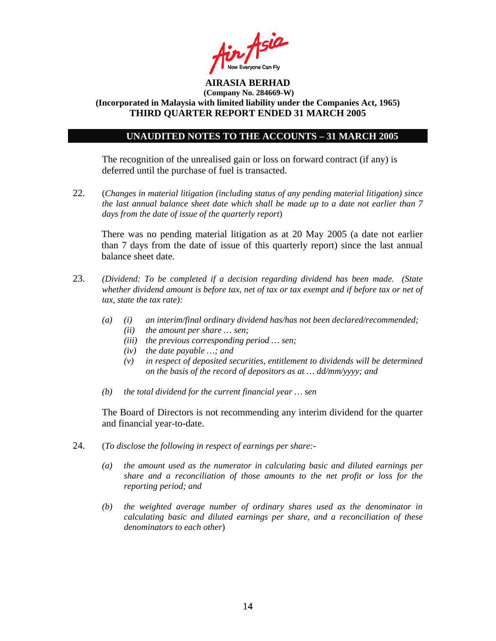

#### **UNAUDITED NOTES TO THE ACCOUNTS – 31 MARCH 2005**

The recognition of the unrealised gain or loss on forward contract (if any) is deferred until the purchase of fuel is transacted.

22. (*Changes in material litigation (including status of any pending material litigation) since the last annual balance sheet date which shall be made up to a date not earlier than 7 days from the date of issue of the quarterly report*)

There was no pending material litigation as at 20 May 2005 (a date not earlier than 7 days from the date of issue of this quarterly report) since the last annual balance sheet date.

- 23. *(Dividend: To be completed if a decision regarding dividend has been made. (State whether dividend amount is before tax, net of tax or tax exempt and if before tax or net of tax, state the tax rate):*
	- *(a) (i) an interim/final ordinary dividend has/has not been declared/recommended;* 
		- *(ii) the amount per share … sen;*
		- *(iii) the previous corresponding period … sen;*
		- *(iv) the date payable …; and*
		- *(v) in respect of deposited securities, entitlement to dividends will be determined on the basis of the record of depositors as at … dd/mm/yyyy; and*
	- *(b) the total dividend for the current financial year … sen*

The Board of Directors is not recommending any interim dividend for the quarter and financial year-to-date.

- 24. (*To disclose the following in respect of earnings per share:-* 
	- *(a) the amount used as the numerator in calculating basic and diluted earnings per share and a reconciliation of those amounts to the net profit or loss for the reporting period; and*
	- *(b) the weighted average number of ordinary shares used as the denominator in calculating basic and diluted earnings per share, and a reconciliation of these denominators to each other*)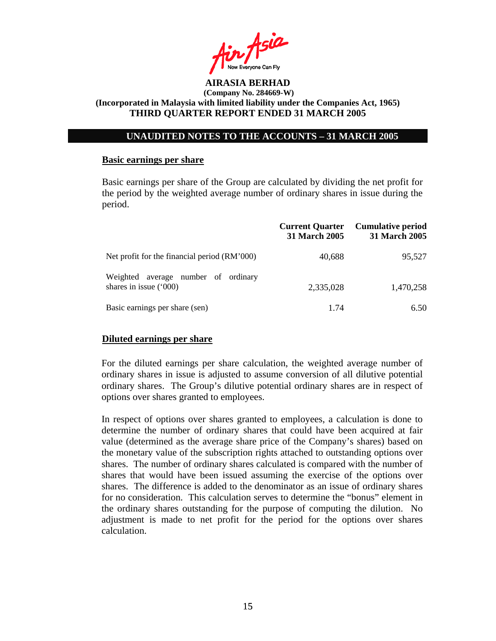

#### **UNAUDITED NOTES TO THE ACCOUNTS – 31 MARCH 2005**

#### **Basic earnings per share**

 Basic earnings per share of the Group are calculated by dividing the net profit for the period by the weighted average number of ordinary shares in issue during the period.

|                                                                | <b>Current Quarter</b><br>31 March 2005 | <b>Cumulative period</b><br><b>31 March 2005</b> |
|----------------------------------------------------------------|-----------------------------------------|--------------------------------------------------|
| Net profit for the financial period (RM'000)                   | 40,688                                  | 95,527                                           |
| Weighted average number of ordinary<br>shares in issue $(000)$ | 2,335,028                               | 1,470,258                                        |
| Basic earnings per share (sen)                                 | 1.74                                    | 6.50                                             |

#### **Diluted earnings per share**

For the diluted earnings per share calculation, the weighted average number of ordinary shares in issue is adjusted to assume conversion of all dilutive potential ordinary shares. The Group's dilutive potential ordinary shares are in respect of options over shares granted to employees.

In respect of options over shares granted to employees, a calculation is done to determine the number of ordinary shares that could have been acquired at fair value (determined as the average share price of the Company's shares) based on the monetary value of the subscription rights attached to outstanding options over shares. The number of ordinary shares calculated is compared with the number of shares that would have been issued assuming the exercise of the options over shares. The difference is added to the denominator as an issue of ordinary shares for no consideration. This calculation serves to determine the "bonus" element in the ordinary shares outstanding for the purpose of computing the dilution. No adjustment is made to net profit for the period for the options over shares calculation.